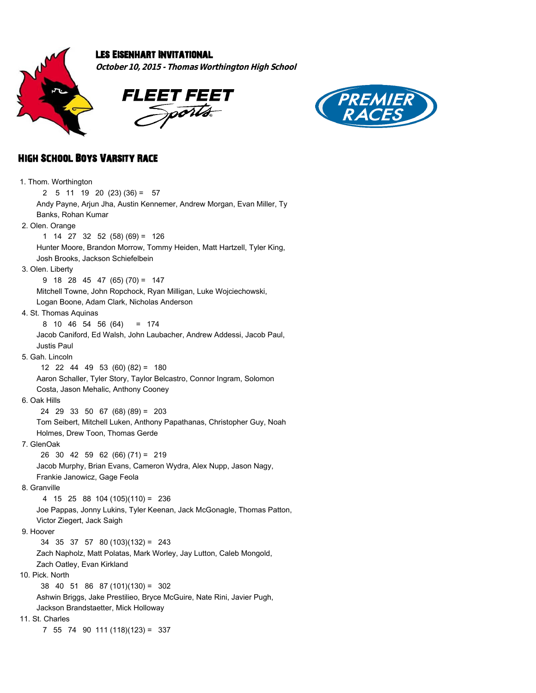

## Les Eisenhart Invitational

**October 10, 2015 - Thomas Worthington High School**





## High School Boys Varsity Race

 1. Thom. Worthington 2 5 11 19 20 (23) (36) = 57 Andy Payne, Arjun Jha, Austin Kennemer, Andrew Morgan, Evan Miller, Ty Banks, Rohan Kumar 2. Olen. Orange 1 14 27 32 52 (58) (69) = 126 Hunter Moore, Brandon Morrow, Tommy Heiden, Matt Hartzell, Tyler King, Josh Brooks, Jackson Schiefelbein 3. Olen. Liberty 9 18 28 45 47 (65) (70) = 147 Mitchell Towne, John Ropchock, Ryan Milligan, Luke Wojciechowski, Logan Boone, Adam Clark, Nicholas Anderson 4. St. Thomas Aquinas 8 10 46 54 56 (64) = 174 Jacob Caniford, Ed Walsh, John Laubacher, Andrew Addessi, Jacob Paul, Justis Paul 5. Gah. Lincoln 12 22 44 49 53 (60) (82) = 180 Aaron Schaller, Tyler Story, Taylor Belcastro, Connor Ingram, Solomon Costa, Jason Mehalic, Anthony Cooney 6. Oak Hills 24 29 33 50 67 (68) (89) = 203 Tom Seibert, Mitchell Luken, Anthony Papathanas, Christopher Guy, Noah Holmes, Drew Toon, Thomas Gerde 7. GlenOak 26 30 42 59 62 (66) (71) = 219 Jacob Murphy, Brian Evans, Cameron Wydra, Alex Nupp, Jason Nagy, Frankie Janowicz, Gage Feola 8. Granville 4 15 25 88 104 (105)(110) = 236 Joe Pappas, Jonny Lukins, Tyler Keenan, Jack McGonagle, Thomas Patton, Victor Ziegert, Jack Saigh 9. Hoover 34 35 37 57 80 (103)(132) = 243 Zach Napholz, Matt Polatas, Mark Worley, Jay Lutton, Caleb Mongold, Zach Oatley, Evan Kirkland 10. Pick. North 38 40 51 86 87 (101)(130) = 302 Ashwin Briggs, Jake Prestilieo, Bryce McGuire, Nate Rini, Javier Pugh, Jackson Brandstaetter, Mick Holloway 11. St. Charles 7 55 74 90 111 (118)(123) = 337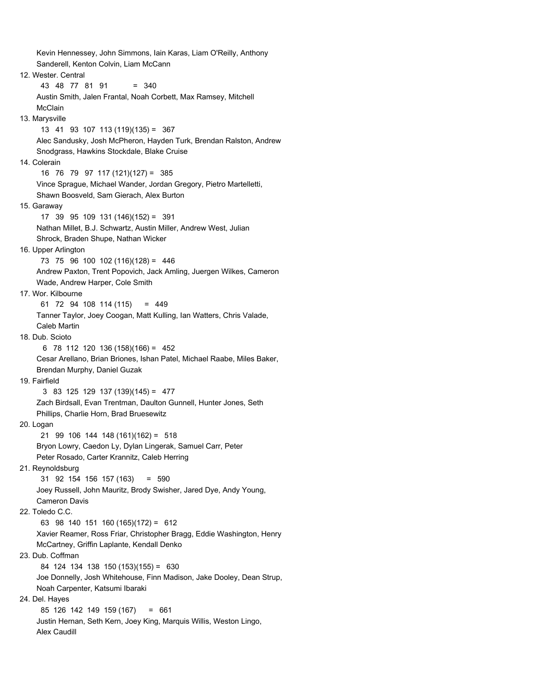Kevin Hennessey, John Simmons, Iain Karas, Liam O'Reilly, Anthony Sanderell, Kenton Colvin, Liam McCann 12. Wester. Central 43 48 77 81 91 = 340 Austin Smith, Jalen Frantal, Noah Corbett, Max Ramsey, Mitchell McClain 13. Marysville 13 41 93 107 113 (119)(135) = 367 Alec Sandusky, Josh McPheron, Hayden Turk, Brendan Ralston, Andrew Snodgrass, Hawkins Stockdale, Blake Cruise 14. Colerain 16 76 79 97 117 (121)(127) = 385 Vince Sprague, Michael Wander, Jordan Gregory, Pietro Martelletti, Shawn Boosveld, Sam Gierach, Alex Burton 15. Garaway 17 39 95 109 131 (146)(152) = 391 Nathan Millet, B.J. Schwartz, Austin Miller, Andrew West, Julian Shrock, Braden Shupe, Nathan Wicker 16. Upper Arlington 73 75 96 100 102 (116)(128) = 446 Andrew Paxton, Trent Popovich, Jack Amling, Juergen Wilkes, Cameron Wade, Andrew Harper, Cole Smith 17. Wor. Kilbourne 61 72 94 108 114 (115) = 449 Tanner Taylor, Joey Coogan, Matt Kulling, Ian Watters, Chris Valade, Caleb Martin 18. Dub. Scioto 6 78 112 120 136 (158)(166) = 452 Cesar Arellano, Brian Briones, Ishan Patel, Michael Raabe, Miles Baker, Brendan Murphy, Daniel Guzak 19. Fairfield 3 83 125 129 137 (139)(145) = 477 Zach Birdsall, Evan Trentman, Daulton Gunnell, Hunter Jones, Seth Phillips, Charlie Horn, Brad Bruesewitz 20. Logan 21 99 106 144 148 (161)(162) = 518 Bryon Lowry, Caedon Ly, Dylan Lingerak, Samuel Carr, Peter Peter Rosado, Carter Krannitz, Caleb Herring 21. Reynoldsburg 31 92 154 156 157 (163) = 590 Joey Russell, John Mauritz, Brody Swisher, Jared Dye, Andy Young, Cameron Davis 22. Toledo C.C. 63 98 140 151 160 (165)(172) = 612 Xavier Reamer, Ross Friar, Christopher Bragg, Eddie Washington, Henry McCartney, Griffin Laplante, Kendall Denko 23. Dub. Coffman 84 124 134 138 150 (153)(155) = 630 Joe Donnelly, Josh Whitehouse, Finn Madison, Jake Dooley, Dean Strup, Noah Carpenter, Katsumi Ibaraki 24. Del. Hayes 85 126 142 149 159 (167) = 661 Justin Hernan, Seth Kern, Joey King, Marquis Willis, Weston Lingo, Alex Caudill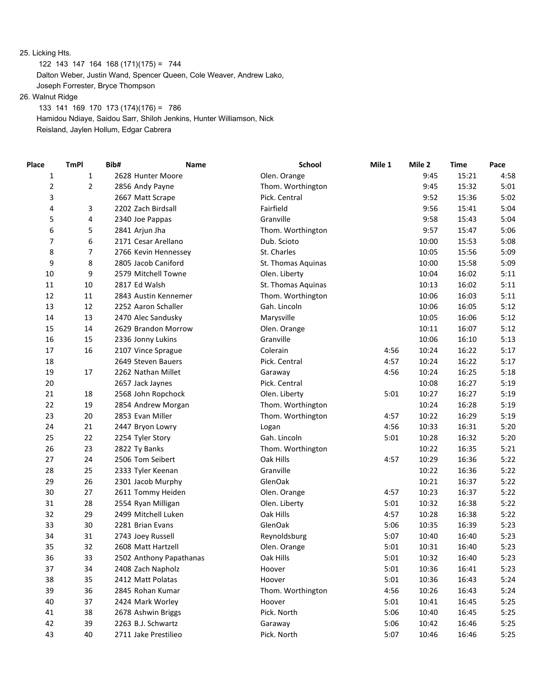25. Licking Hts.

122 143 147 164 168 (171)(175) = 744

Dalton Weber, Justin Wand, Spencer Queen, Cole Weaver, Andrew Lako,

 Joseph Forrester, Bryce Thompson 26. Walnut Ridge

 133 141 169 170 173 (174)(176) = 786 Hamidou Ndiaye, Saidou Sarr, Shiloh Jenkins, Hunter Williamson, Nick Reisland, Jaylen Hollum, Edgar Cabrera

| $\mathbf{1}$<br>9:45<br>15:21<br>1<br>Olen. Orange<br>4:58<br>2628 Hunter Moore<br>2<br>$\overline{2}$<br>Thom. Worthington<br>9:45<br>15:32<br>5:01<br>2856 Andy Payne<br>3<br>Pick. Central<br>15:36<br>5:02<br>9:52<br>2667 Matt Scrape<br>4<br>Fairfield<br>9:56<br>15:41<br>5:04<br>3<br>2202 Zach Birdsall<br>5<br>4<br>Granville<br>15:43<br>5:04<br>2340 Joe Pappas<br>9:58<br>6<br>5<br>Thom. Worthington<br>15:47<br>5:06<br>2841 Arjun Jha<br>9:57<br>6<br>5:08<br>7<br>2171 Cesar Arellano<br>Dub. Scioto<br>10:00<br>15:53<br>8<br>7<br>5:09<br>St. Charles<br>15:56<br>2766 Kevin Hennessey<br>10:05<br>8<br>9<br>5:09<br>2805 Jacob Caniford<br>10:00<br>15:58<br>St. Thomas Aquinas<br>9<br>10<br>16:02<br>5:11<br>2579 Mitchell Towne<br>Olen. Liberty<br>10:04<br>10<br>5:11<br>11<br>2817 Ed Walsh<br>St. Thomas Aquinas<br>10:13<br>16:02<br>12<br>$11\,$<br>16:03<br>5:11<br>2843 Austin Kennemer<br>Thom. Worthington<br>10:06<br>5:12<br>13<br>12<br>Gah. Lincoln<br>16:05<br>2252 Aaron Schaller<br>10:06<br>5:12<br>14<br>13<br>16:06<br>2470 Alec Sandusky<br>Marysville<br>10:05<br>5:12<br>15<br>10:11<br>16:07<br>14<br>2629 Brandon Morrow<br>Olen. Orange<br>16<br>10:06<br>16:10<br>5:13<br>15<br>2336 Jonny Lukins<br>Granville<br>17<br>16<br>10:24<br>16:22<br>5:17<br>2107 Vince Sprague<br>Colerain<br>4:56<br>Pick. Central<br>16:22<br>5:17<br>18<br>2649 Steven Bauers<br>4:57<br>10:24<br>19<br>17<br>10:24<br>16:25<br>5:18<br>2262 Nathan Millet<br>4:56<br>Garaway<br>20<br>Pick. Central<br>10:08<br>16:27<br>5:19<br>2657 Jack Jaynes<br>18<br>5:01<br>16:27<br>5:19<br>21<br>2568 John Ropchock<br>Olen. Liberty<br>10:27<br>5:19<br>22<br>19<br>16:28<br>Thom. Worthington<br>10:24<br>2854 Andrew Morgan<br>5:19<br>23<br>20<br>10:22<br>16:29<br>2853 Evan Miller<br>Thom. Worthington<br>4:57<br>21<br>5:20<br>24<br>4:56<br>10:33<br>16:31<br>2447 Bryon Lowry<br>Logan<br>22<br>Gah. Lincoln<br>10:28<br>16:32<br>5:20<br>25<br>2254 Tyler Story<br>5:01<br>26<br>23<br>10:22<br>16:35<br>5:21<br>2822 Ty Banks<br>Thom. Worthington<br>27<br>Oak Hills<br>16:36<br>5:22<br>24<br>2506 Tom Seibert<br>4:57<br>10:29<br>25<br>10:22<br>16:36<br>5:22<br>28<br>2333 Tyler Keenan<br>Granville<br>26<br>GlenOak<br>10:21<br>16:37<br>5:22<br>29<br>2301 Jacob Murphy<br>30<br>27<br>10:23<br>16:37<br>5:22<br>2611 Tommy Heiden<br>Olen. Orange<br>4:57<br>5:22<br>31<br>28<br>2554 Ryan Milligan<br>Olen. Liberty<br>5:01<br>10:32<br>16:38<br>32<br>29<br>2499 Mitchell Luken<br>Oak Hills<br>10:28<br>16:38<br>5:22<br>4:57<br>33<br>30<br>GlenOak<br>5:23<br>2281 Brian Evans<br>5:06<br>10:35<br>16:39<br>34<br>31<br>5:23<br>2743 Joey Russell<br>Reynoldsburg<br>5:07<br>10:40<br>16:40<br>35<br>32<br>5:23<br>2608 Matt Hartzell<br>Olen. Orange<br>5:01<br>10:31<br>16:40<br>33<br>36<br>2502 Anthony Papathanas<br>Oak Hills<br>5:01<br>10:32<br>16:40<br>5:23<br>37<br>34<br>2408 Zach Napholz<br>Hoover<br>5:01<br>10:36<br>16:41<br>5:23<br>38<br>35<br>2412 Matt Polatas<br>Hoover<br>5:01<br>10:36<br>16:43<br>5:24<br>36<br>39<br>2845 Rohan Kumar<br>Thom. Worthington<br>4:56<br>10:26<br>16:43<br>5:24<br>40<br>37<br>2424 Mark Worley<br>5:01<br>10:41<br>16:45<br>5:25<br>Hoover<br>41<br>38<br>2678 Ashwin Briggs<br>Pick. North<br>5:06<br>10:40<br>16:45<br>5:25<br>42<br>39<br>2263 B.J. Schwartz<br>5:06<br>10:42<br>16:46<br>5:25<br>Garaway<br>40<br>2711 Jake Prestilieo | Place | <b>TmPI</b> | Bib# | Name | <b>School</b> | Mile 1 | Mile 2 | <b>Time</b> | Pace |
|---------------------------------------------------------------------------------------------------------------------------------------------------------------------------------------------------------------------------------------------------------------------------------------------------------------------------------------------------------------------------------------------------------------------------------------------------------------------------------------------------------------------------------------------------------------------------------------------------------------------------------------------------------------------------------------------------------------------------------------------------------------------------------------------------------------------------------------------------------------------------------------------------------------------------------------------------------------------------------------------------------------------------------------------------------------------------------------------------------------------------------------------------------------------------------------------------------------------------------------------------------------------------------------------------------------------------------------------------------------------------------------------------------------------------------------------------------------------------------------------------------------------------------------------------------------------------------------------------------------------------------------------------------------------------------------------------------------------------------------------------------------------------------------------------------------------------------------------------------------------------------------------------------------------------------------------------------------------------------------------------------------------------------------------------------------------------------------------------------------------------------------------------------------------------------------------------------------------------------------------------------------------------------------------------------------------------------------------------------------------------------------------------------------------------------------------------------------------------------------------------------------------------------------------------------------------------------------------------------------------------------------------------------------------------------------------------------------------------------------------------------------------------------------------------------------------------------------------------------------------------------------------------------------------------------------------------------------------------------------------------------------------------------------------------------------------------------------------------------------------------------------------------------------------------------------------------------------------------------------------------------------------------------------------------------------------------------------------------------------------------------------------------------------------------------------------------------|-------|-------------|------|------|---------------|--------|--------|-------------|------|
|                                                                                                                                                                                                                                                                                                                                                                                                                                                                                                                                                                                                                                                                                                                                                                                                                                                                                                                                                                                                                                                                                                                                                                                                                                                                                                                                                                                                                                                                                                                                                                                                                                                                                                                                                                                                                                                                                                                                                                                                                                                                                                                                                                                                                                                                                                                                                                                                                                                                                                                                                                                                                                                                                                                                                                                                                                                                                                                                                                                                                                                                                                                                                                                                                                                                                                                                                                                                                                                         |       |             |      |      |               |        |        |             |      |
|                                                                                                                                                                                                                                                                                                                                                                                                                                                                                                                                                                                                                                                                                                                                                                                                                                                                                                                                                                                                                                                                                                                                                                                                                                                                                                                                                                                                                                                                                                                                                                                                                                                                                                                                                                                                                                                                                                                                                                                                                                                                                                                                                                                                                                                                                                                                                                                                                                                                                                                                                                                                                                                                                                                                                                                                                                                                                                                                                                                                                                                                                                                                                                                                                                                                                                                                                                                                                                                         |       |             |      |      |               |        |        |             |      |
|                                                                                                                                                                                                                                                                                                                                                                                                                                                                                                                                                                                                                                                                                                                                                                                                                                                                                                                                                                                                                                                                                                                                                                                                                                                                                                                                                                                                                                                                                                                                                                                                                                                                                                                                                                                                                                                                                                                                                                                                                                                                                                                                                                                                                                                                                                                                                                                                                                                                                                                                                                                                                                                                                                                                                                                                                                                                                                                                                                                                                                                                                                                                                                                                                                                                                                                                                                                                                                                         |       |             |      |      |               |        |        |             |      |
|                                                                                                                                                                                                                                                                                                                                                                                                                                                                                                                                                                                                                                                                                                                                                                                                                                                                                                                                                                                                                                                                                                                                                                                                                                                                                                                                                                                                                                                                                                                                                                                                                                                                                                                                                                                                                                                                                                                                                                                                                                                                                                                                                                                                                                                                                                                                                                                                                                                                                                                                                                                                                                                                                                                                                                                                                                                                                                                                                                                                                                                                                                                                                                                                                                                                                                                                                                                                                                                         |       |             |      |      |               |        |        |             |      |
|                                                                                                                                                                                                                                                                                                                                                                                                                                                                                                                                                                                                                                                                                                                                                                                                                                                                                                                                                                                                                                                                                                                                                                                                                                                                                                                                                                                                                                                                                                                                                                                                                                                                                                                                                                                                                                                                                                                                                                                                                                                                                                                                                                                                                                                                                                                                                                                                                                                                                                                                                                                                                                                                                                                                                                                                                                                                                                                                                                                                                                                                                                                                                                                                                                                                                                                                                                                                                                                         |       |             |      |      |               |        |        |             |      |
|                                                                                                                                                                                                                                                                                                                                                                                                                                                                                                                                                                                                                                                                                                                                                                                                                                                                                                                                                                                                                                                                                                                                                                                                                                                                                                                                                                                                                                                                                                                                                                                                                                                                                                                                                                                                                                                                                                                                                                                                                                                                                                                                                                                                                                                                                                                                                                                                                                                                                                                                                                                                                                                                                                                                                                                                                                                                                                                                                                                                                                                                                                                                                                                                                                                                                                                                                                                                                                                         |       |             |      |      |               |        |        |             |      |
|                                                                                                                                                                                                                                                                                                                                                                                                                                                                                                                                                                                                                                                                                                                                                                                                                                                                                                                                                                                                                                                                                                                                                                                                                                                                                                                                                                                                                                                                                                                                                                                                                                                                                                                                                                                                                                                                                                                                                                                                                                                                                                                                                                                                                                                                                                                                                                                                                                                                                                                                                                                                                                                                                                                                                                                                                                                                                                                                                                                                                                                                                                                                                                                                                                                                                                                                                                                                                                                         |       |             |      |      |               |        |        |             |      |
|                                                                                                                                                                                                                                                                                                                                                                                                                                                                                                                                                                                                                                                                                                                                                                                                                                                                                                                                                                                                                                                                                                                                                                                                                                                                                                                                                                                                                                                                                                                                                                                                                                                                                                                                                                                                                                                                                                                                                                                                                                                                                                                                                                                                                                                                                                                                                                                                                                                                                                                                                                                                                                                                                                                                                                                                                                                                                                                                                                                                                                                                                                                                                                                                                                                                                                                                                                                                                                                         |       |             |      |      |               |        |        |             |      |
|                                                                                                                                                                                                                                                                                                                                                                                                                                                                                                                                                                                                                                                                                                                                                                                                                                                                                                                                                                                                                                                                                                                                                                                                                                                                                                                                                                                                                                                                                                                                                                                                                                                                                                                                                                                                                                                                                                                                                                                                                                                                                                                                                                                                                                                                                                                                                                                                                                                                                                                                                                                                                                                                                                                                                                                                                                                                                                                                                                                                                                                                                                                                                                                                                                                                                                                                                                                                                                                         |       |             |      |      |               |        |        |             |      |
|                                                                                                                                                                                                                                                                                                                                                                                                                                                                                                                                                                                                                                                                                                                                                                                                                                                                                                                                                                                                                                                                                                                                                                                                                                                                                                                                                                                                                                                                                                                                                                                                                                                                                                                                                                                                                                                                                                                                                                                                                                                                                                                                                                                                                                                                                                                                                                                                                                                                                                                                                                                                                                                                                                                                                                                                                                                                                                                                                                                                                                                                                                                                                                                                                                                                                                                                                                                                                                                         |       |             |      |      |               |        |        |             |      |
|                                                                                                                                                                                                                                                                                                                                                                                                                                                                                                                                                                                                                                                                                                                                                                                                                                                                                                                                                                                                                                                                                                                                                                                                                                                                                                                                                                                                                                                                                                                                                                                                                                                                                                                                                                                                                                                                                                                                                                                                                                                                                                                                                                                                                                                                                                                                                                                                                                                                                                                                                                                                                                                                                                                                                                                                                                                                                                                                                                                                                                                                                                                                                                                                                                                                                                                                                                                                                                                         |       |             |      |      |               |        |        |             |      |
|                                                                                                                                                                                                                                                                                                                                                                                                                                                                                                                                                                                                                                                                                                                                                                                                                                                                                                                                                                                                                                                                                                                                                                                                                                                                                                                                                                                                                                                                                                                                                                                                                                                                                                                                                                                                                                                                                                                                                                                                                                                                                                                                                                                                                                                                                                                                                                                                                                                                                                                                                                                                                                                                                                                                                                                                                                                                                                                                                                                                                                                                                                                                                                                                                                                                                                                                                                                                                                                         |       |             |      |      |               |        |        |             |      |
|                                                                                                                                                                                                                                                                                                                                                                                                                                                                                                                                                                                                                                                                                                                                                                                                                                                                                                                                                                                                                                                                                                                                                                                                                                                                                                                                                                                                                                                                                                                                                                                                                                                                                                                                                                                                                                                                                                                                                                                                                                                                                                                                                                                                                                                                                                                                                                                                                                                                                                                                                                                                                                                                                                                                                                                                                                                                                                                                                                                                                                                                                                                                                                                                                                                                                                                                                                                                                                                         |       |             |      |      |               |        |        |             |      |
|                                                                                                                                                                                                                                                                                                                                                                                                                                                                                                                                                                                                                                                                                                                                                                                                                                                                                                                                                                                                                                                                                                                                                                                                                                                                                                                                                                                                                                                                                                                                                                                                                                                                                                                                                                                                                                                                                                                                                                                                                                                                                                                                                                                                                                                                                                                                                                                                                                                                                                                                                                                                                                                                                                                                                                                                                                                                                                                                                                                                                                                                                                                                                                                                                                                                                                                                                                                                                                                         |       |             |      |      |               |        |        |             |      |
|                                                                                                                                                                                                                                                                                                                                                                                                                                                                                                                                                                                                                                                                                                                                                                                                                                                                                                                                                                                                                                                                                                                                                                                                                                                                                                                                                                                                                                                                                                                                                                                                                                                                                                                                                                                                                                                                                                                                                                                                                                                                                                                                                                                                                                                                                                                                                                                                                                                                                                                                                                                                                                                                                                                                                                                                                                                                                                                                                                                                                                                                                                                                                                                                                                                                                                                                                                                                                                                         |       |             |      |      |               |        |        |             |      |
|                                                                                                                                                                                                                                                                                                                                                                                                                                                                                                                                                                                                                                                                                                                                                                                                                                                                                                                                                                                                                                                                                                                                                                                                                                                                                                                                                                                                                                                                                                                                                                                                                                                                                                                                                                                                                                                                                                                                                                                                                                                                                                                                                                                                                                                                                                                                                                                                                                                                                                                                                                                                                                                                                                                                                                                                                                                                                                                                                                                                                                                                                                                                                                                                                                                                                                                                                                                                                                                         |       |             |      |      |               |        |        |             |      |
|                                                                                                                                                                                                                                                                                                                                                                                                                                                                                                                                                                                                                                                                                                                                                                                                                                                                                                                                                                                                                                                                                                                                                                                                                                                                                                                                                                                                                                                                                                                                                                                                                                                                                                                                                                                                                                                                                                                                                                                                                                                                                                                                                                                                                                                                                                                                                                                                                                                                                                                                                                                                                                                                                                                                                                                                                                                                                                                                                                                                                                                                                                                                                                                                                                                                                                                                                                                                                                                         |       |             |      |      |               |        |        |             |      |
|                                                                                                                                                                                                                                                                                                                                                                                                                                                                                                                                                                                                                                                                                                                                                                                                                                                                                                                                                                                                                                                                                                                                                                                                                                                                                                                                                                                                                                                                                                                                                                                                                                                                                                                                                                                                                                                                                                                                                                                                                                                                                                                                                                                                                                                                                                                                                                                                                                                                                                                                                                                                                                                                                                                                                                                                                                                                                                                                                                                                                                                                                                                                                                                                                                                                                                                                                                                                                                                         |       |             |      |      |               |        |        |             |      |
|                                                                                                                                                                                                                                                                                                                                                                                                                                                                                                                                                                                                                                                                                                                                                                                                                                                                                                                                                                                                                                                                                                                                                                                                                                                                                                                                                                                                                                                                                                                                                                                                                                                                                                                                                                                                                                                                                                                                                                                                                                                                                                                                                                                                                                                                                                                                                                                                                                                                                                                                                                                                                                                                                                                                                                                                                                                                                                                                                                                                                                                                                                                                                                                                                                                                                                                                                                                                                                                         |       |             |      |      |               |        |        |             |      |
|                                                                                                                                                                                                                                                                                                                                                                                                                                                                                                                                                                                                                                                                                                                                                                                                                                                                                                                                                                                                                                                                                                                                                                                                                                                                                                                                                                                                                                                                                                                                                                                                                                                                                                                                                                                                                                                                                                                                                                                                                                                                                                                                                                                                                                                                                                                                                                                                                                                                                                                                                                                                                                                                                                                                                                                                                                                                                                                                                                                                                                                                                                                                                                                                                                                                                                                                                                                                                                                         |       |             |      |      |               |        |        |             |      |
|                                                                                                                                                                                                                                                                                                                                                                                                                                                                                                                                                                                                                                                                                                                                                                                                                                                                                                                                                                                                                                                                                                                                                                                                                                                                                                                                                                                                                                                                                                                                                                                                                                                                                                                                                                                                                                                                                                                                                                                                                                                                                                                                                                                                                                                                                                                                                                                                                                                                                                                                                                                                                                                                                                                                                                                                                                                                                                                                                                                                                                                                                                                                                                                                                                                                                                                                                                                                                                                         |       |             |      |      |               |        |        |             |      |
|                                                                                                                                                                                                                                                                                                                                                                                                                                                                                                                                                                                                                                                                                                                                                                                                                                                                                                                                                                                                                                                                                                                                                                                                                                                                                                                                                                                                                                                                                                                                                                                                                                                                                                                                                                                                                                                                                                                                                                                                                                                                                                                                                                                                                                                                                                                                                                                                                                                                                                                                                                                                                                                                                                                                                                                                                                                                                                                                                                                                                                                                                                                                                                                                                                                                                                                                                                                                                                                         |       |             |      |      |               |        |        |             |      |
|                                                                                                                                                                                                                                                                                                                                                                                                                                                                                                                                                                                                                                                                                                                                                                                                                                                                                                                                                                                                                                                                                                                                                                                                                                                                                                                                                                                                                                                                                                                                                                                                                                                                                                                                                                                                                                                                                                                                                                                                                                                                                                                                                                                                                                                                                                                                                                                                                                                                                                                                                                                                                                                                                                                                                                                                                                                                                                                                                                                                                                                                                                                                                                                                                                                                                                                                                                                                                                                         |       |             |      |      |               |        |        |             |      |
|                                                                                                                                                                                                                                                                                                                                                                                                                                                                                                                                                                                                                                                                                                                                                                                                                                                                                                                                                                                                                                                                                                                                                                                                                                                                                                                                                                                                                                                                                                                                                                                                                                                                                                                                                                                                                                                                                                                                                                                                                                                                                                                                                                                                                                                                                                                                                                                                                                                                                                                                                                                                                                                                                                                                                                                                                                                                                                                                                                                                                                                                                                                                                                                                                                                                                                                                                                                                                                                         |       |             |      |      |               |        |        |             |      |
|                                                                                                                                                                                                                                                                                                                                                                                                                                                                                                                                                                                                                                                                                                                                                                                                                                                                                                                                                                                                                                                                                                                                                                                                                                                                                                                                                                                                                                                                                                                                                                                                                                                                                                                                                                                                                                                                                                                                                                                                                                                                                                                                                                                                                                                                                                                                                                                                                                                                                                                                                                                                                                                                                                                                                                                                                                                                                                                                                                                                                                                                                                                                                                                                                                                                                                                                                                                                                                                         |       |             |      |      |               |        |        |             |      |
|                                                                                                                                                                                                                                                                                                                                                                                                                                                                                                                                                                                                                                                                                                                                                                                                                                                                                                                                                                                                                                                                                                                                                                                                                                                                                                                                                                                                                                                                                                                                                                                                                                                                                                                                                                                                                                                                                                                                                                                                                                                                                                                                                                                                                                                                                                                                                                                                                                                                                                                                                                                                                                                                                                                                                                                                                                                                                                                                                                                                                                                                                                                                                                                                                                                                                                                                                                                                                                                         |       |             |      |      |               |        |        |             |      |
|                                                                                                                                                                                                                                                                                                                                                                                                                                                                                                                                                                                                                                                                                                                                                                                                                                                                                                                                                                                                                                                                                                                                                                                                                                                                                                                                                                                                                                                                                                                                                                                                                                                                                                                                                                                                                                                                                                                                                                                                                                                                                                                                                                                                                                                                                                                                                                                                                                                                                                                                                                                                                                                                                                                                                                                                                                                                                                                                                                                                                                                                                                                                                                                                                                                                                                                                                                                                                                                         |       |             |      |      |               |        |        |             |      |
|                                                                                                                                                                                                                                                                                                                                                                                                                                                                                                                                                                                                                                                                                                                                                                                                                                                                                                                                                                                                                                                                                                                                                                                                                                                                                                                                                                                                                                                                                                                                                                                                                                                                                                                                                                                                                                                                                                                                                                                                                                                                                                                                                                                                                                                                                                                                                                                                                                                                                                                                                                                                                                                                                                                                                                                                                                                                                                                                                                                                                                                                                                                                                                                                                                                                                                                                                                                                                                                         |       |             |      |      |               |        |        |             |      |
|                                                                                                                                                                                                                                                                                                                                                                                                                                                                                                                                                                                                                                                                                                                                                                                                                                                                                                                                                                                                                                                                                                                                                                                                                                                                                                                                                                                                                                                                                                                                                                                                                                                                                                                                                                                                                                                                                                                                                                                                                                                                                                                                                                                                                                                                                                                                                                                                                                                                                                                                                                                                                                                                                                                                                                                                                                                                                                                                                                                                                                                                                                                                                                                                                                                                                                                                                                                                                                                         |       |             |      |      |               |        |        |             |      |
|                                                                                                                                                                                                                                                                                                                                                                                                                                                                                                                                                                                                                                                                                                                                                                                                                                                                                                                                                                                                                                                                                                                                                                                                                                                                                                                                                                                                                                                                                                                                                                                                                                                                                                                                                                                                                                                                                                                                                                                                                                                                                                                                                                                                                                                                                                                                                                                                                                                                                                                                                                                                                                                                                                                                                                                                                                                                                                                                                                                                                                                                                                                                                                                                                                                                                                                                                                                                                                                         |       |             |      |      |               |        |        |             |      |
|                                                                                                                                                                                                                                                                                                                                                                                                                                                                                                                                                                                                                                                                                                                                                                                                                                                                                                                                                                                                                                                                                                                                                                                                                                                                                                                                                                                                                                                                                                                                                                                                                                                                                                                                                                                                                                                                                                                                                                                                                                                                                                                                                                                                                                                                                                                                                                                                                                                                                                                                                                                                                                                                                                                                                                                                                                                                                                                                                                                                                                                                                                                                                                                                                                                                                                                                                                                                                                                         |       |             |      |      |               |        |        |             |      |
|                                                                                                                                                                                                                                                                                                                                                                                                                                                                                                                                                                                                                                                                                                                                                                                                                                                                                                                                                                                                                                                                                                                                                                                                                                                                                                                                                                                                                                                                                                                                                                                                                                                                                                                                                                                                                                                                                                                                                                                                                                                                                                                                                                                                                                                                                                                                                                                                                                                                                                                                                                                                                                                                                                                                                                                                                                                                                                                                                                                                                                                                                                                                                                                                                                                                                                                                                                                                                                                         |       |             |      |      |               |        |        |             |      |
|                                                                                                                                                                                                                                                                                                                                                                                                                                                                                                                                                                                                                                                                                                                                                                                                                                                                                                                                                                                                                                                                                                                                                                                                                                                                                                                                                                                                                                                                                                                                                                                                                                                                                                                                                                                                                                                                                                                                                                                                                                                                                                                                                                                                                                                                                                                                                                                                                                                                                                                                                                                                                                                                                                                                                                                                                                                                                                                                                                                                                                                                                                                                                                                                                                                                                                                                                                                                                                                         |       |             |      |      |               |        |        |             |      |
|                                                                                                                                                                                                                                                                                                                                                                                                                                                                                                                                                                                                                                                                                                                                                                                                                                                                                                                                                                                                                                                                                                                                                                                                                                                                                                                                                                                                                                                                                                                                                                                                                                                                                                                                                                                                                                                                                                                                                                                                                                                                                                                                                                                                                                                                                                                                                                                                                                                                                                                                                                                                                                                                                                                                                                                                                                                                                                                                                                                                                                                                                                                                                                                                                                                                                                                                                                                                                                                         |       |             |      |      |               |        |        |             |      |
|                                                                                                                                                                                                                                                                                                                                                                                                                                                                                                                                                                                                                                                                                                                                                                                                                                                                                                                                                                                                                                                                                                                                                                                                                                                                                                                                                                                                                                                                                                                                                                                                                                                                                                                                                                                                                                                                                                                                                                                                                                                                                                                                                                                                                                                                                                                                                                                                                                                                                                                                                                                                                                                                                                                                                                                                                                                                                                                                                                                                                                                                                                                                                                                                                                                                                                                                                                                                                                                         |       |             |      |      |               |        |        |             |      |
|                                                                                                                                                                                                                                                                                                                                                                                                                                                                                                                                                                                                                                                                                                                                                                                                                                                                                                                                                                                                                                                                                                                                                                                                                                                                                                                                                                                                                                                                                                                                                                                                                                                                                                                                                                                                                                                                                                                                                                                                                                                                                                                                                                                                                                                                                                                                                                                                                                                                                                                                                                                                                                                                                                                                                                                                                                                                                                                                                                                                                                                                                                                                                                                                                                                                                                                                                                                                                                                         |       |             |      |      |               |        |        |             |      |
|                                                                                                                                                                                                                                                                                                                                                                                                                                                                                                                                                                                                                                                                                                                                                                                                                                                                                                                                                                                                                                                                                                                                                                                                                                                                                                                                                                                                                                                                                                                                                                                                                                                                                                                                                                                                                                                                                                                                                                                                                                                                                                                                                                                                                                                                                                                                                                                                                                                                                                                                                                                                                                                                                                                                                                                                                                                                                                                                                                                                                                                                                                                                                                                                                                                                                                                                                                                                                                                         |       |             |      |      |               |        |        |             |      |
|                                                                                                                                                                                                                                                                                                                                                                                                                                                                                                                                                                                                                                                                                                                                                                                                                                                                                                                                                                                                                                                                                                                                                                                                                                                                                                                                                                                                                                                                                                                                                                                                                                                                                                                                                                                                                                                                                                                                                                                                                                                                                                                                                                                                                                                                                                                                                                                                                                                                                                                                                                                                                                                                                                                                                                                                                                                                                                                                                                                                                                                                                                                                                                                                                                                                                                                                                                                                                                                         |       |             |      |      |               |        |        |             |      |
|                                                                                                                                                                                                                                                                                                                                                                                                                                                                                                                                                                                                                                                                                                                                                                                                                                                                                                                                                                                                                                                                                                                                                                                                                                                                                                                                                                                                                                                                                                                                                                                                                                                                                                                                                                                                                                                                                                                                                                                                                                                                                                                                                                                                                                                                                                                                                                                                                                                                                                                                                                                                                                                                                                                                                                                                                                                                                                                                                                                                                                                                                                                                                                                                                                                                                                                                                                                                                                                         |       |             |      |      |               |        |        |             |      |
|                                                                                                                                                                                                                                                                                                                                                                                                                                                                                                                                                                                                                                                                                                                                                                                                                                                                                                                                                                                                                                                                                                                                                                                                                                                                                                                                                                                                                                                                                                                                                                                                                                                                                                                                                                                                                                                                                                                                                                                                                                                                                                                                                                                                                                                                                                                                                                                                                                                                                                                                                                                                                                                                                                                                                                                                                                                                                                                                                                                                                                                                                                                                                                                                                                                                                                                                                                                                                                                         |       |             |      |      |               |        |        |             |      |
|                                                                                                                                                                                                                                                                                                                                                                                                                                                                                                                                                                                                                                                                                                                                                                                                                                                                                                                                                                                                                                                                                                                                                                                                                                                                                                                                                                                                                                                                                                                                                                                                                                                                                                                                                                                                                                                                                                                                                                                                                                                                                                                                                                                                                                                                                                                                                                                                                                                                                                                                                                                                                                                                                                                                                                                                                                                                                                                                                                                                                                                                                                                                                                                                                                                                                                                                                                                                                                                         |       |             |      |      |               |        |        |             |      |
|                                                                                                                                                                                                                                                                                                                                                                                                                                                                                                                                                                                                                                                                                                                                                                                                                                                                                                                                                                                                                                                                                                                                                                                                                                                                                                                                                                                                                                                                                                                                                                                                                                                                                                                                                                                                                                                                                                                                                                                                                                                                                                                                                                                                                                                                                                                                                                                                                                                                                                                                                                                                                                                                                                                                                                                                                                                                                                                                                                                                                                                                                                                                                                                                                                                                                                                                                                                                                                                         |       |             |      |      |               |        |        |             |      |
|                                                                                                                                                                                                                                                                                                                                                                                                                                                                                                                                                                                                                                                                                                                                                                                                                                                                                                                                                                                                                                                                                                                                                                                                                                                                                                                                                                                                                                                                                                                                                                                                                                                                                                                                                                                                                                                                                                                                                                                                                                                                                                                                                                                                                                                                                                                                                                                                                                                                                                                                                                                                                                                                                                                                                                                                                                                                                                                                                                                                                                                                                                                                                                                                                                                                                                                                                                                                                                                         | 43    |             |      |      | Pick. North   | 5:07   | 10:46  | 16:46       | 5:25 |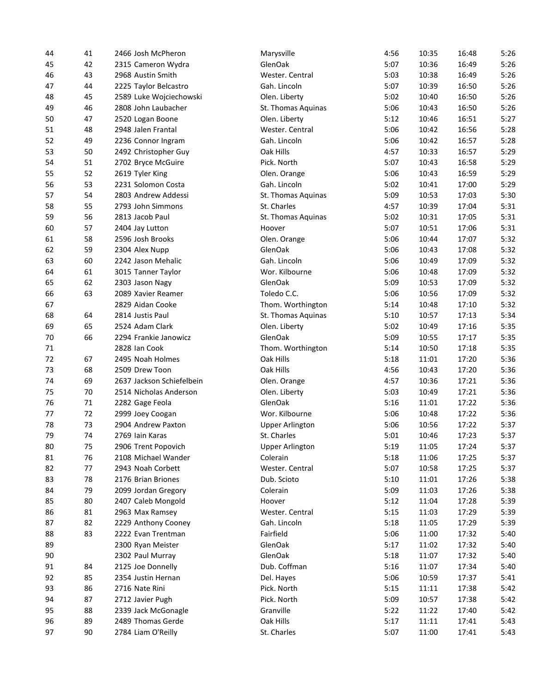| 44 | 41 | 2466 Josh McPheron        | Marysville             | 4:56 | 10:35 | 16:48 | 5:26 |
|----|----|---------------------------|------------------------|------|-------|-------|------|
| 45 | 42 | 2315 Cameron Wydra        | GlenOak                | 5:07 | 10:36 | 16:49 | 5:26 |
| 46 | 43 | 2968 Austin Smith         | Wester. Central        | 5:03 | 10:38 | 16:49 | 5:26 |
| 47 | 44 | 2225 Taylor Belcastro     | Gah. Lincoln           | 5:07 | 10:39 | 16:50 | 5:26 |
| 48 | 45 | 2589 Luke Wojciechowski   | Olen. Liberty          | 5:02 | 10:40 | 16:50 | 5:26 |
| 49 | 46 | 2808 John Laubacher       | St. Thomas Aquinas     | 5:06 | 10:43 | 16:50 | 5:26 |
| 50 | 47 | 2520 Logan Boone          | Olen. Liberty          | 5:12 | 10:46 | 16:51 | 5:27 |
| 51 | 48 | 2948 Jalen Frantal        | Wester. Central        | 5:06 | 10:42 | 16:56 | 5:28 |
| 52 | 49 | 2236 Connor Ingram        | Gah. Lincoln           | 5:06 | 10:42 | 16:57 | 5:28 |
| 53 | 50 | 2492 Christopher Guy      | Oak Hills              | 4:57 | 10:33 | 16:57 | 5:29 |
| 54 | 51 | 2702 Bryce McGuire        | Pick. North            | 5:07 | 10:43 | 16:58 | 5:29 |
| 55 | 52 | 2619 Tyler King           | Olen. Orange           | 5:06 | 10:43 | 16:59 | 5:29 |
| 56 | 53 | 2231 Solomon Costa        | Gah. Lincoln           | 5:02 | 10:41 | 17:00 | 5:29 |
| 57 | 54 | 2803 Andrew Addessi       | St. Thomas Aquinas     | 5:09 | 10:53 | 17:03 | 5:30 |
| 58 | 55 | 2793 John Simmons         | St. Charles            | 4:57 | 10:39 | 17:04 | 5:31 |
| 59 | 56 | 2813 Jacob Paul           | St. Thomas Aquinas     | 5:02 | 10:31 | 17:05 | 5:31 |
| 60 | 57 | 2404 Jay Lutton           | Hoover                 | 5:07 | 10:51 | 17:06 | 5:31 |
| 61 | 58 | 2596 Josh Brooks          | Olen. Orange           | 5:06 | 10:44 | 17:07 | 5:32 |
| 62 | 59 | 2304 Alex Nupp            | GlenOak                | 5:06 | 10:43 | 17:08 | 5:32 |
| 63 | 60 | 2242 Jason Mehalic        | Gah. Lincoln           | 5:06 | 10:49 | 17:09 | 5:32 |
| 64 | 61 | 3015 Tanner Taylor        | Wor. Kilbourne         | 5:06 | 10:48 | 17:09 | 5:32 |
| 65 | 62 | 2303 Jason Nagy           | GlenOak                | 5:09 | 10:53 | 17:09 | 5:32 |
| 66 | 63 | 2089 Xavier Reamer        | Toledo C.C.            | 5:06 | 10:56 | 17:09 | 5:32 |
| 67 |    | 2829 Aidan Cooke          | Thom. Worthington      | 5:14 | 10:48 | 17:10 | 5:32 |
| 68 | 64 | 2814 Justis Paul          | St. Thomas Aquinas     | 5:10 | 10:57 | 17:13 | 5:34 |
| 69 | 65 | 2524 Adam Clark           | Olen. Liberty          | 5:02 | 10:49 | 17:16 | 5:35 |
| 70 | 66 | 2294 Frankie Janowicz     | GlenOak                | 5:09 | 10:55 | 17:17 | 5:35 |
| 71 |    | 2828 Ian Cook             | Thom. Worthington      | 5:14 | 10:50 | 17:18 | 5:35 |
| 72 | 67 | 2495 Noah Holmes          | Oak Hills              | 5:18 | 11:01 | 17:20 | 5:36 |
| 73 | 68 | 2509 Drew Toon            | Oak Hills              | 4:56 | 10:43 | 17:20 | 5:36 |
| 74 | 69 | 2637 Jackson Schiefelbein | Olen. Orange           | 4:57 | 10:36 | 17:21 | 5:36 |
| 75 | 70 | 2514 Nicholas Anderson    | Olen. Liberty          | 5:03 | 10:49 | 17:21 | 5:36 |
| 76 | 71 | 2282 Gage Feola           | GlenOak                | 5:16 | 11:01 | 17:22 | 5:36 |
| 77 | 72 | 2999 Joey Coogan          | Wor. Kilbourne         | 5:06 | 10:48 | 17:22 | 5:36 |
| 78 | 73 | 2904 Andrew Paxton        | <b>Upper Arlington</b> | 5:06 | 10:56 | 17:22 | 5:37 |
| 79 | 74 | 2769 Iain Karas           | St. Charles            | 5:01 | 10:46 | 17:23 | 5:37 |
| 80 | 75 | 2906 Trent Popovich       | <b>Upper Arlington</b> | 5:19 | 11:05 | 17:24 | 5:37 |
| 81 | 76 | 2108 Michael Wander       | Colerain               | 5:18 | 11:06 | 17:25 | 5:37 |
| 82 | 77 | 2943 Noah Corbett         | Wester. Central        | 5:07 | 10:58 | 17:25 | 5:37 |
| 83 | 78 | 2176 Brian Briones        | Dub. Scioto            | 5:10 | 11:01 | 17:26 | 5:38 |
| 84 | 79 | 2099 Jordan Gregory       | Colerain               | 5:09 | 11:03 | 17:26 | 5:38 |
|    |    |                           |                        |      |       |       |      |
| 85 | 80 | 2407 Caleb Mongold        | Hoover                 | 5:12 | 11:04 | 17:28 | 5:39 |
| 86 | 81 | 2963 Max Ramsey           | Wester. Central        | 5:15 | 11:03 | 17:29 | 5:39 |
| 87 | 82 | 2229 Anthony Cooney       | Gah. Lincoln           | 5:18 | 11:05 | 17:29 | 5:39 |
| 88 | 83 | 2222 Evan Trentman        | Fairfield              | 5:06 | 11:00 | 17:32 | 5:40 |
| 89 |    | 2300 Ryan Meister         | GlenOak                | 5:17 | 11:02 | 17:32 | 5:40 |
| 90 |    | 2302 Paul Murray          | GlenOak                | 5:18 | 11:07 | 17:32 | 5:40 |
| 91 | 84 | 2125 Joe Donnelly         | Dub. Coffman           | 5:16 | 11:07 | 17:34 | 5:40 |
| 92 | 85 | 2354 Justin Hernan        | Del. Hayes             | 5:06 | 10:59 | 17:37 | 5:41 |
| 93 | 86 | 2716 Nate Rini            | Pick. North            | 5:15 | 11:11 | 17:38 | 5:42 |
| 94 | 87 | 2712 Javier Pugh          | Pick. North            | 5:09 | 10:57 | 17:38 | 5:42 |
| 95 | 88 | 2339 Jack McGonagle       | Granville              | 5:22 | 11:22 | 17:40 | 5:42 |
| 96 | 89 | 2489 Thomas Gerde         | Oak Hills              | 5:17 | 11:11 | 17:41 | 5:43 |
| 97 | 90 | 2784 Liam O'Reilly        | St. Charles            | 5:07 | 11:00 | 17:41 | 5:43 |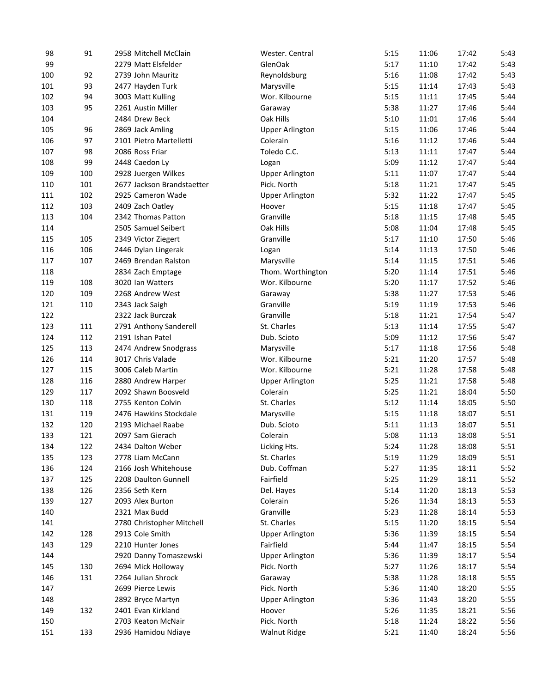| 98  | 91  | 2958 Mitchell McClain      | Wester. Central        | 5:15 | 11:06 | 17:42          | 5:43 |
|-----|-----|----------------------------|------------------------|------|-------|----------------|------|
| 99  |     | 2279 Matt Elsfelder        | GlenOak                | 5:17 | 11:10 | 17:42          | 5:43 |
| 100 | 92  | 2739 John Mauritz          | Reynoldsburg           | 5:16 | 11:08 | 17:42          | 5:43 |
| 101 | 93  | 2477 Hayden Turk           | Marysville             | 5:15 | 11:14 | 17:43          | 5:43 |
| 102 | 94  | 3003 Matt Kulling          | Wor. Kilbourne         | 5:15 | 11:11 | 17:45          | 5:44 |
| 103 | 95  | 2261 Austin Miller         | Garaway                | 5:38 | 11:27 | 17:46          | 5:44 |
| 104 |     | 2484 Drew Beck             | Oak Hills              | 5:10 | 11:01 | 17:46          | 5:44 |
| 105 | 96  | 2869 Jack Amling           | <b>Upper Arlington</b> | 5:15 | 11:06 | 17:46          | 5:44 |
| 106 | 97  | 2101 Pietro Martelletti    | Colerain               | 5:16 | 11:12 | 17:46          | 5:44 |
| 107 | 98  | 2086 Ross Friar            | Toledo C.C.            | 5:13 | 11:11 | 17:47          | 5:44 |
| 108 | 99  | 2448 Caedon Ly             | Logan                  | 5:09 | 11:12 | 17:47          | 5:44 |
| 109 | 100 | 2928 Juergen Wilkes        | <b>Upper Arlington</b> | 5:11 | 11:07 | 17:47          | 5:44 |
| 110 | 101 | 2677 Jackson Brandstaetter | Pick. North            | 5:18 | 11:21 | 17:47          | 5:45 |
| 111 | 102 | 2925 Cameron Wade          | <b>Upper Arlington</b> | 5:32 | 11:22 | 17:47          | 5:45 |
| 112 | 103 | 2409 Zach Oatley           | Hoover                 | 5:15 | 11:18 | 17:47          | 5:45 |
| 113 | 104 | 2342 Thomas Patton         | Granville              | 5:18 | 11:15 | 17:48          | 5:45 |
| 114 |     | 2505 Samuel Seibert        | Oak Hills              | 5:08 | 11:04 | 17:48          | 5:45 |
| 115 | 105 | 2349 Victor Ziegert        | Granville              | 5:17 | 11:10 | 17:50          | 5:46 |
| 116 | 106 | 2446 Dylan Lingerak        | Logan                  | 5:14 | 11:13 | 17:50          | 5:46 |
| 117 | 107 | 2469 Brendan Ralston       | Marysville             | 5:14 | 11:15 | 17:51          | 5:46 |
| 118 |     | 2834 Zach Emptage          | Thom. Worthington      | 5:20 | 11:14 | 17:51          | 5:46 |
| 119 | 108 | 3020 Ian Watters           |                        | 5:20 |       |                | 5:46 |
| 120 | 109 | 2268 Andrew West           | Wor. Kilbourne         | 5:38 | 11:17 | 17:52<br>17:53 | 5:46 |
|     |     |                            | Garaway                |      | 11:27 |                |      |
| 121 | 110 | 2343 Jack Saigh            | Granville              | 5:19 | 11:19 | 17:53          | 5:46 |
| 122 |     | 2322 Jack Burczak          | Granville              | 5:18 | 11:21 | 17:54          | 5:47 |
| 123 | 111 | 2791 Anthony Sanderell     | St. Charles            | 5:13 | 11:14 | 17:55          | 5:47 |
| 124 | 112 | 2191 Ishan Patel           | Dub. Scioto            | 5:09 | 11:12 | 17:56          | 5:47 |
| 125 | 113 | 2474 Andrew Snodgrass      | Marysville             | 5:17 | 11:18 | 17:56          | 5:48 |
| 126 | 114 | 3017 Chris Valade          | Wor. Kilbourne         | 5:21 | 11:20 | 17:57          | 5:48 |
| 127 | 115 | 3006 Caleb Martin          | Wor. Kilbourne         | 5:21 | 11:28 | 17:58          | 5:48 |
| 128 | 116 | 2880 Andrew Harper         | <b>Upper Arlington</b> | 5:25 | 11:21 | 17:58          | 5:48 |
| 129 | 117 | 2092 Shawn Boosveld        | Colerain               | 5:25 | 11:21 | 18:04          | 5:50 |
| 130 | 118 | 2755 Kenton Colvin         | St. Charles            | 5:12 | 11:14 | 18:05          | 5:50 |
| 131 | 119 | 2476 Hawkins Stockdale     | Marysville             | 5:15 | 11:18 | 18:07          | 5:51 |
| 132 | 120 | 2193 Michael Raabe         | Dub. Scioto            | 5:11 | 11:13 | 18:07          | 5:51 |
| 133 | 121 | 2097 Sam Gierach           | Colerain               | 5:08 | 11:13 | 18:08          | 5:51 |
| 134 | 122 | 2434 Dalton Weber          | Licking Hts.           | 5:24 | 11:28 | 18:08          | 5:51 |
| 135 | 123 | 2778 Liam McCann           | St. Charles            | 5:19 | 11:29 | 18:09          | 5:51 |
| 136 | 124 | 2166 Josh Whitehouse       | Dub. Coffman           | 5:27 | 11:35 | 18:11          | 5:52 |
| 137 | 125 | 2208 Daulton Gunnell       | Fairfield              | 5:25 | 11:29 | 18:11          | 5:52 |
| 138 | 126 | 2356 Seth Kern             | Del. Hayes             | 5:14 | 11:20 | 18:13          | 5:53 |
| 139 | 127 | 2093 Alex Burton           | Colerain               | 5:26 | 11:34 | 18:13          | 5:53 |
| 140 |     | 2321 Max Budd              | Granville              | 5:23 | 11:28 | 18:14          | 5:53 |
| 141 |     | 2780 Christopher Mitchell  | St. Charles            | 5:15 | 11:20 | 18:15          | 5:54 |
| 142 | 128 | 2913 Cole Smith            | <b>Upper Arlington</b> | 5:36 | 11:39 | 18:15          | 5:54 |
| 143 | 129 | 2210 Hunter Jones          | Fairfield              | 5:44 | 11:47 | 18:15          | 5:54 |
| 144 |     | 2920 Danny Tomaszewski     | <b>Upper Arlington</b> | 5:36 | 11:39 | 18:17          | 5:54 |
| 145 | 130 | 2694 Mick Holloway         | Pick. North            | 5:27 | 11:26 | 18:17          | 5:54 |
| 146 | 131 | 2264 Julian Shrock         | Garaway                | 5:38 | 11:28 | 18:18          | 5:55 |
| 147 |     | 2699 Pierce Lewis          | Pick. North            | 5:36 | 11:40 | 18:20          | 5:55 |
| 148 |     | 2892 Bryce Martyn          | <b>Upper Arlington</b> | 5:36 | 11:43 | 18:20          | 5:55 |
| 149 | 132 | 2401 Evan Kirkland         | Hoover                 | 5:26 | 11:35 | 18:21          | 5:56 |
| 150 |     | 2703 Keaton McNair         | Pick. North            | 5:18 | 11:24 | 18:22          | 5:56 |
| 151 | 133 | 2936 Hamidou Ndiaye        | <b>Walnut Ridge</b>    | 5:21 | 11:40 | 18:24          | 5:56 |
|     |     |                            |                        |      |       |                |      |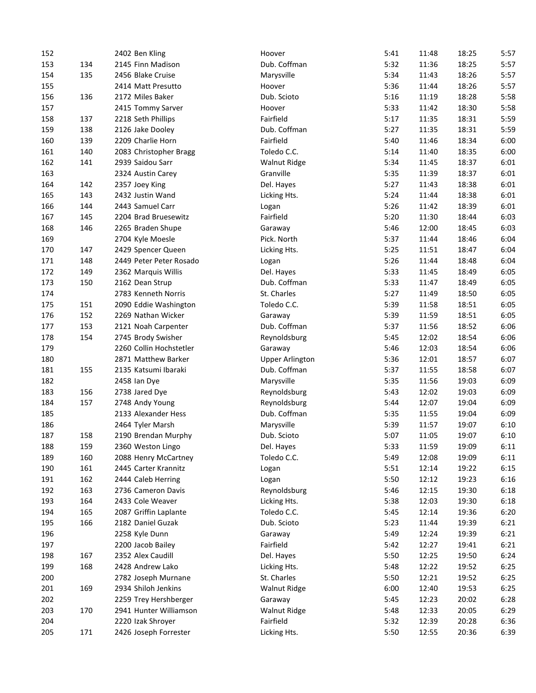| 152 |     | 2402 Ben Kling          | Hoover                 | 5:41 | 11:48 | 18:25 | 5:57 |
|-----|-----|-------------------------|------------------------|------|-------|-------|------|
| 153 | 134 | 2145 Finn Madison       | Dub. Coffman           | 5:32 | 11:36 | 18:25 | 5:57 |
| 154 | 135 | 2456 Blake Cruise       | Marysville             | 5:34 | 11:43 | 18:26 | 5:57 |
| 155 |     | 2414 Matt Presutto      | Hoover                 | 5:36 | 11:44 | 18:26 | 5:57 |
| 156 | 136 | 2172 Miles Baker        | Dub. Scioto            | 5:16 | 11:19 | 18:28 | 5:58 |
| 157 |     | 2415 Tommy Sarver       | Hoover                 | 5:33 | 11:42 | 18:30 | 5:58 |
| 158 | 137 | 2218 Seth Phillips      | Fairfield              | 5:17 | 11:35 | 18:31 | 5:59 |
| 159 | 138 | 2126 Jake Dooley        | Dub. Coffman           | 5:27 | 11:35 | 18:31 | 5:59 |
| 160 | 139 | 2209 Charlie Horn       | Fairfield              | 5:40 | 11:46 | 18:34 | 6:00 |
| 161 | 140 | 2083 Christopher Bragg  | Toledo C.C.            | 5:14 | 11:40 | 18:35 | 6:00 |
| 162 | 141 | 2939 Saidou Sarr        | <b>Walnut Ridge</b>    | 5:34 | 11:45 | 18:37 | 6:01 |
| 163 |     | 2324 Austin Carey       | Granville              | 5:35 | 11:39 | 18:37 | 6:01 |
| 164 | 142 | 2357 Joey King          | Del. Hayes             | 5:27 | 11:43 | 18:38 | 6:01 |
| 165 | 143 | 2432 Justin Wand        | Licking Hts.           | 5:24 | 11:44 | 18:38 | 6:01 |
| 166 | 144 | 2443 Samuel Carr        | Logan                  | 5:26 | 11:42 | 18:39 | 6:01 |
| 167 | 145 | 2204 Brad Bruesewitz    | Fairfield              | 5:20 | 11:30 | 18:44 | 6:03 |
| 168 | 146 | 2265 Braden Shupe       | Garaway                | 5:46 | 12:00 | 18:45 | 6:03 |
| 169 |     | 2704 Kyle Moesle        | Pick. North            | 5:37 | 11:44 | 18:46 | 6:04 |
| 170 | 147 | 2429 Spencer Queen      | Licking Hts.           | 5:25 | 11:51 | 18:47 | 6:04 |
| 171 | 148 | 2449 Peter Peter Rosado | Logan                  | 5:26 | 11:44 | 18:48 | 6:04 |
| 172 | 149 | 2362 Marquis Willis     | Del. Hayes             | 5:33 | 11:45 | 18:49 | 6:05 |
| 173 | 150 | 2162 Dean Strup         | Dub. Coffman           | 5:33 | 11:47 | 18:49 | 6:05 |
| 174 |     | 2783 Kenneth Norris     | St. Charles            | 5:27 | 11:49 | 18:50 | 6:05 |
| 175 | 151 |                         | Toledo C.C.            | 5:39 | 11:58 | 18:51 | 6:05 |
|     |     | 2090 Eddie Washington   |                        |      |       |       |      |
| 176 | 152 | 2269 Nathan Wicker      | Garaway                | 5:39 | 11:59 | 18:51 | 6:05 |
| 177 | 153 | 2121 Noah Carpenter     | Dub. Coffman           | 5:37 | 11:56 | 18:52 | 6:06 |
| 178 | 154 | 2745 Brody Swisher      | Reynoldsburg           | 5:45 | 12:02 | 18:54 | 6:06 |
| 179 |     | 2260 Collin Hochstetler | Garaway                | 5:46 | 12:03 | 18:54 | 6:06 |
| 180 |     | 2871 Matthew Barker     | <b>Upper Arlington</b> | 5:36 | 12:01 | 18:57 | 6:07 |
| 181 | 155 | 2135 Katsumi Ibaraki    | Dub. Coffman           | 5:37 | 11:55 | 18:58 | 6:07 |
| 182 |     | 2458 Ian Dye            | Marysville             | 5:35 | 11:56 | 19:03 | 6:09 |
| 183 | 156 | 2738 Jared Dye          | Reynoldsburg           | 5:43 | 12:02 | 19:03 | 6:09 |
| 184 | 157 | 2748 Andy Young         | Reynoldsburg           | 5:44 | 12:07 | 19:04 | 6:09 |
| 185 |     | 2133 Alexander Hess     | Dub. Coffman           | 5:35 | 11:55 | 19:04 | 6:09 |
| 186 |     | 2464 Tyler Marsh        | Marysville             | 5:39 | 11:57 | 19:07 | 6:10 |
| 187 | 158 | 2190 Brendan Murphy     | Dub. Scioto            | 5:07 | 11:05 | 19:07 | 6:10 |
| 188 | 159 | 2360 Weston Lingo       | Del. Hayes             | 5:33 | 11:59 | 19:09 | 6:11 |
| 189 | 160 | 2088 Henry McCartney    | Toledo C.C.            | 5:49 | 12:08 | 19:09 | 6:11 |
| 190 | 161 | 2445 Carter Krannitz    | Logan                  | 5:51 | 12:14 | 19:22 | 6:15 |
| 191 | 162 | 2444 Caleb Herring      | Logan                  | 5:50 | 12:12 | 19:23 | 6:16 |
| 192 | 163 | 2736 Cameron Davis      | Reynoldsburg           | 5:46 | 12:15 | 19:30 | 6:18 |
| 193 | 164 | 2433 Cole Weaver        | Licking Hts.           | 5:38 | 12:03 | 19:30 | 6:18 |
| 194 | 165 | 2087 Griffin Laplante   | Toledo C.C.            | 5:45 | 12:14 | 19:36 | 6:20 |
| 195 | 166 | 2182 Daniel Guzak       | Dub. Scioto            | 5:23 | 11:44 | 19:39 | 6:21 |
| 196 |     | 2258 Kyle Dunn          | Garaway                | 5:49 | 12:24 | 19:39 | 6:21 |
| 197 |     | 2200 Jacob Bailey       | Fairfield              | 5:42 | 12:27 | 19:41 | 6:21 |
| 198 | 167 | 2352 Alex Caudill       | Del. Hayes             | 5:50 | 12:25 | 19:50 | 6:24 |
| 199 | 168 | 2428 Andrew Lako        | Licking Hts.           | 5:48 | 12:22 | 19:52 | 6:25 |
| 200 |     | 2782 Joseph Murnane     | St. Charles            | 5:50 | 12:21 | 19:52 | 6:25 |
| 201 | 169 | 2934 Shiloh Jenkins     | <b>Walnut Ridge</b>    | 6:00 | 12:40 | 19:53 | 6:25 |
| 202 |     | 2259 Trey Hershberger   | Garaway                | 5:45 | 12:23 | 20:02 | 6:28 |
| 203 | 170 | 2941 Hunter Williamson  | <b>Walnut Ridge</b>    | 5:48 | 12:33 | 20:05 | 6:29 |
| 204 |     | 2220 Izak Shroyer       | Fairfield              | 5:32 | 12:39 | 20:28 | 6:36 |
| 205 | 171 | 2426 Joseph Forrester   | Licking Hts.           | 5:50 | 12:55 | 20:36 | 6:39 |
|     |     |                         |                        |      |       |       |      |